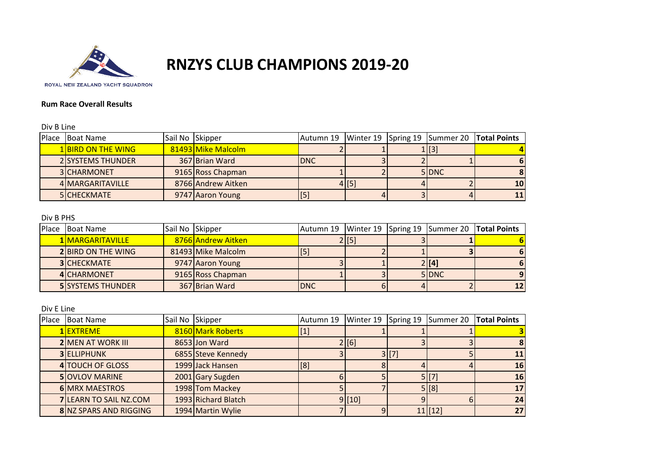

## **RNZYS CLUB CHAMPIONS 2019-20**

## **Rum Race Overall Results**

Div B Line

| Place | <b>Boat Name</b>          | Sail No Skipper |                    |            |       | Autumn 19   Winter 19   Spring 19   Summer 20   Total Points |           |
|-------|---------------------------|-----------------|--------------------|------------|-------|--------------------------------------------------------------|-----------|
|       | <b>1 BIRD ON THE WING</b> |                 | 81493 Mike Malcolm |            |       | 1 [3]                                                        |           |
|       | <b>2 SYSTEMS THUNDER</b>  |                 | 367 Brian Ward     | <b>DNC</b> |       |                                                              |           |
|       | 3 CHARMONET               |                 | 9165 Ross Chapman  |            |       | 5 DNC                                                        |           |
|       | 4 MARGARITAVILLE          |                 | 8766 Andrew Aitken |            | 4 [5] |                                                              | <b>10</b> |
|       | 5 CHECKMATE               |                 | 9747 Aaron Young   | IJ         |       |                                                              |           |

## Div B PHS

| Place | <b>Boat Name</b>          | Sail No Skipper |                    |            |       | Autumn 19   Winter 19   Spring 19   Summer 20   Total Points |  |
|-------|---------------------------|-----------------|--------------------|------------|-------|--------------------------------------------------------------|--|
|       | 1 MARGARITAVILLE          |                 | 8766 Andrew Aitken |            | 2 [5] |                                                              |  |
|       | <b>2 BIRD ON THE WING</b> |                 | 81493 Mike Malcolm |            |       |                                                              |  |
|       | <b>3ICHECKMATE</b>        |                 | 9747 Aaron Young   |            |       | $2$ [[4]                                                     |  |
|       | 4 CHARMONET               |                 | 9165 Ross Chapman  |            |       | 5 DNC                                                        |  |
|       | <b>5 SYSTEMS THUNDER</b>  |                 | 367 Brian Ward     | <b>DNC</b> |       |                                                              |  |

Div E Line

| Place | <b>Boat Name</b>         | Sail No Skipper |                     | Autumn 19 | Winter 19 Spring 19 |       | Summer 20 | <b>Total Points</b> |
|-------|--------------------------|-----------------|---------------------|-----------|---------------------|-------|-----------|---------------------|
|       | 1 EXTREME                |                 | 8160 Mark Roberts   | $[1]$     |                     |       |           |                     |
|       | <b>2 MEN AT WORK III</b> |                 | 8653 Jon Ward       |           | 2 [6]               |       |           |                     |
|       | <b>3 ELLIPHUNK</b>       |                 | 6855 Steve Kennedy  |           |                     | 3 [7] |           |                     |
|       | 4 TOUCH OF GLOSS         |                 | 1999 Jack Hansen    | [8]       |                     |       |           | 16                  |
|       | <b>5 OVLOV MARINE</b>    |                 | 2001 Gary Sugden    |           |                     |       | 5 [[7]    | 16                  |
|       | <b>6 MRX MAESTROS</b>    |                 | 1998 Tom Mackey     |           |                     |       | 5 [8]     |                     |
|       | 7 LEARN TO SAIL NZ.COM   |                 | 1993 Richard Blatch |           | 9[10]               |       |           | 24                  |
|       | 8 NZ SPARS AND RIGGING   |                 | 1994 Martin Wylie   |           |                     |       | $11$ [12] | 27                  |